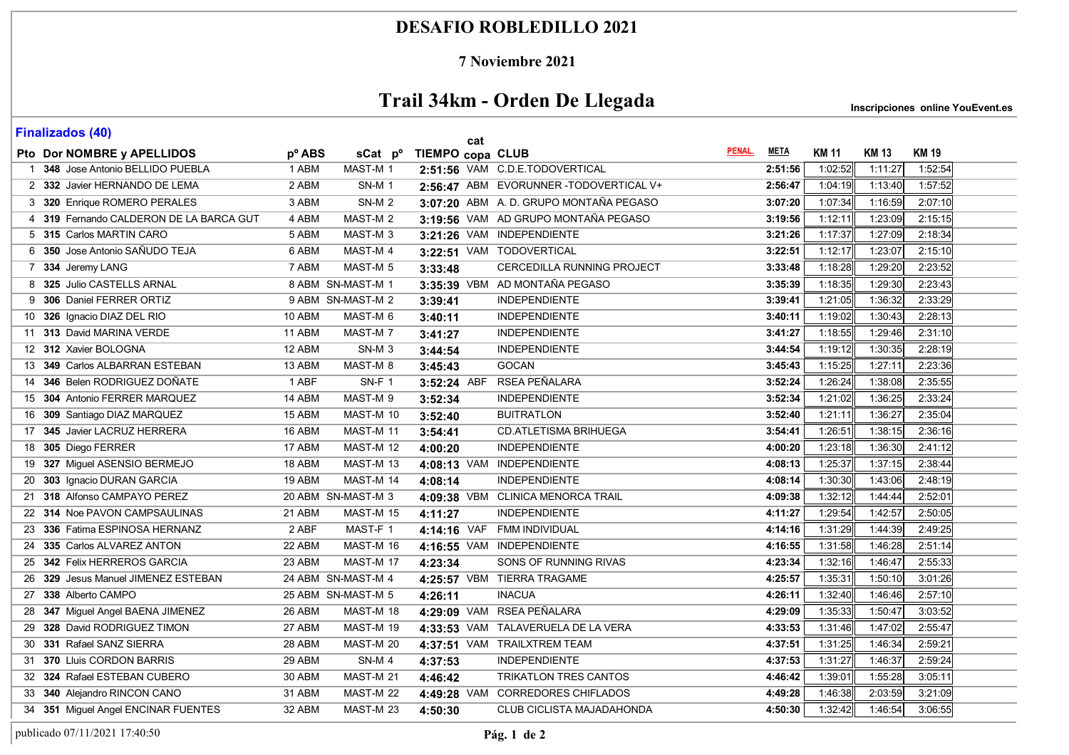### **DESAFIO ROBLEDILLO 2021**

#### **7 Noviembre 2021**

# **Trail 34km - Orden De Llegada**

**Inscripciones online YouEvent.es** 

| ן יי <del>ר</del> י כּטוּם <i>ב</i> וווסווו<br>cat |                                         |                    |                     |                  |                                       |        |             |              |              |              |
|----------------------------------------------------|-----------------------------------------|--------------------|---------------------|------------------|---------------------------------------|--------|-------------|--------------|--------------|--------------|
|                                                    | Pto Dor NOMBRE y APELLIDOS              | p <sup>o</sup> ABS | sCat p <sup>o</sup> | TIEMPO copa CLUB |                                       | PENAL. | <u>META</u> | <b>KM 11</b> | <b>KM 13</b> | <b>KM 19</b> |
|                                                    | 1 348 Jose Antonio BELLIDO PUEBLA       | 1 ABM              | MAST-M 1            |                  | 2:51:56 VAM C.D.E.TODOVERTICAL        |        | 2:51:56     | 1:02:52      | 1:11:27      | 1:52:54      |
|                                                    | 2 332 Javier HERNANDO DE LEMA           | 2 ABM              | <b>SN-M1</b>        |                  | 2:56:47 ABM EVORUNNER-TODOVERTICAL V+ |        | 2:56:47     | 1.04:19      | 1:13:40      | 1:57:52      |
|                                                    | 3 320 Enrique ROMERO PERALES            | 3 ABM              | <b>SN-M2</b>        |                  | 3:07:20 ABM A.D. GRUPO MONTAÑA PEGASO |        | 3:07:20     | 1:07:34      | 1:16:59      | 2:07:10      |
|                                                    | 4 319 Fernando CALDERON DE LA BARCA GUT | 4 ABM              | MAST-M <sub>2</sub> |                  | 3:19:56 VAM AD GRUPO MONTAÑA PEGASO   |        | 3:19:56     | 1:12:11      | 1:23:09      | 2:15:15      |
|                                                    | 5 315 Carlos MARTIN CARO                | 5 ABM              | MAST-M <sub>3</sub> |                  | 3:21:26 VAM INDEPENDIENTE             |        | 3:21:26     | 1:17:37      | 1:27:09      | 2:18:34      |
|                                                    | 6 350 Jose Antonio SAÑUDO TEJA          | 6 ABM              | MAST-M 4            |                  | 3:22:51 VAM TODOVERTICAL              |        | 3:22:51     | 1:12:17      | 1:23:07      | 2:15:10      |
|                                                    | 7 334 Jeremy LANG                       | 7 ABM              | MAST-M <sub>5</sub> | 3:33:48          | <b>CERCEDILLA RUNNING PROJECT</b>     |        | 3:33:48     | 1:18:28      | 1:29:20      | 2:23:52      |
|                                                    | 8 325 Julio CASTELLS ARNAL              |                    | 8 ABM SN-MAST-M 1   |                  | 3:35:39 VBM AD MONTAÑA PEGASO         |        | 3:35:39     | 1:18:35      | 1:29:30      | 2:23:43      |
|                                                    | 9 306 Daniel FERRER ORTIZ               |                    | 9 ABM SN-MAST-M 2   | 3:39:41          | <b>INDEPENDIENTE</b>                  |        | 3:39:41     | 1:21:05      | 1:36:32      | 2:33:29      |
|                                                    | 10 326 Ignacio DIAZ DEL RIO             | 10 ABM             | MAST-M 6            | 3:40:11          | <b>INDEPENDIENTE</b>                  |        | 3:40:11     | 1:19.02      | 1:30:43      | 2:28:13      |
|                                                    | 11 313 David MARINA VERDE               | 11 ABM             | MAST-M 7            | 3:41:27          | <b>INDEPENDIENTE</b>                  |        | 3:41:27     | 1:18:55      | 1:29:46      | 2:31:10      |
|                                                    | 12 312 Xavier BOLOGNA                   | 12 ABM             | SN-M <sub>3</sub>   | 3:44:54          | <b>INDEPENDIENTE</b>                  |        | 3:44:54     | 1:19:12      | 1:30:35      | 2:28:19      |
|                                                    | 13 349 Carlos ALBARRAN ESTEBAN          | 13 ABM             | MAST-M 8            | 3:45:43          | <b>GOCAN</b>                          |        | 3:45:43     | 1:15:25      | 1:27:11      | 2:23:36      |
|                                                    | 14 346 Belen RODRIGUEZ DOÑATE           | 1 ABF              | SN-F 1              |                  | 3:52:24 ABF RSEA PEÑALARA             |        | 3:52:24     | 1:26:24      | 1:38:08      | 2:35:55      |
|                                                    | 15 304 Antonio FERRER MARQUEZ           | 14 ABM             | MAST-M 9            | 3:52:34          | <b>INDEPENDIENTE</b>                  |        | 3:52:34     | 1:21:02      | 1:36:25      | 2:33:24      |
|                                                    | 16 309 Santiago DIAZ MARQUEZ            | 15 ABM             | MAST-M 10           | 3:52:40          | <b>BUITRATLON</b>                     |        | 3:52:40     | 1:21:11      | 1:36:27      | 2:35:04      |
|                                                    | 17 345 Javier LACRUZ HERRERA            | 16 ABM             | MAST-M 11           | 3:54:41          | CD.ATLETISMA BRIHUEGA                 |        | 3:54:41     | 1:26:51      | 1:38:15      | 2:36:16      |
|                                                    | 18 305 Diego FERRER                     | 17 ABM             | MAST-M 12           | 4:00:20          | <b>INDEPENDIENTE</b>                  |        | 4:00:20     | 1:23:18      | 1:36:30      | 2:41:12      |
|                                                    | 19 327 Miguel ASENSIO BERMEJO           | 18 ABM             | MAST-M 13           |                  | 4:08:13 VAM INDEPENDIENTE             |        | 4:08:13     | 1:25:37      | 1:37:15      | 2:38:44      |
|                                                    | 20 303 Ignacio DURAN GARCIA             | 19 ABM             | MAST-M 14           | 4:08:14          | <b>INDEPENDIENTE</b>                  |        | 4:08:14     | 1:30:30      | 1:43:06      | 2:48:19      |
|                                                    | 21 318 Alfonso CAMPAYO PEREZ            |                    | 20 ABM SN-MAST-M 3  |                  | 4:09:38 VBM CLINICA MENORCA TRAIL     |        | 4:09:38     | 1:32:12      | 1:44:44      | 2:52:01      |
|                                                    | 22 314 Noe PAVON CAMPSAULINAS           | 21 ABM             | MAST-M 15           | 4:11:27          | <b>INDEPENDIENTE</b>                  |        | 4:11:27     | 1:29:54      | 1:42:57      | 2:50:05      |
|                                                    | 23 336 Fatima ESPINOSA HERNANZ          | 2 ABF              | MAST-F 1            |                  | 4:14:16 VAF FMM INDIVIDUAL            |        | 4:14:16     | 1:31:29      | 1:44:39      | 2:49:25      |
|                                                    | 24 335 Carlos ALVAREZ ANTON             | 22 ABM             | MAST-M 16           |                  | 4:16:55 VAM INDEPENDIENTE             |        | 4:16:55     | 1:31:58      | 1:46:28      | 2:51:14      |
|                                                    | 25 342 Felix HERREROS GARCIA            | 23 ABM             | MAST-M 17           | 4:23:34          | SONS OF RUNNING RIVAS                 |        | 4:23:34     | 1:32:16      | 1:46:47      | 2:55:33      |
|                                                    | 26 329 Jesus Manuel JIMENEZ ESTEBAN     |                    | 24 ABM SN-MAST-M 4  |                  | 4:25:57 VBM TIERRA TRAGAME            |        | 4:25:57     | 1:35:31      | 1:50:10      | 3:01:26      |
|                                                    | 27 338 Alberto CAMPO                    |                    | 25 ABM SN-MAST-M 5  | 4:26:11          | <b>INACUA</b>                         |        | 4:26:11     | 1:32:40      | 1:46:46      | 2:57:10      |
|                                                    | 28 347 Miguel Angel BAENA JIMENEZ       | 26 ABM             | MAST-M 18           |                  | 4:29:09 VAM RSEA PEÑALARA             |        | 4:29:09     | 1:35:33      | 1:50:47      | 3:03:52      |
|                                                    | 29 328 David RODRIGUEZ TIMON            | 27 ABM             | MAST-M 19           |                  | 4:33:53 VAM TALAVERUELA DE LA VERA    |        | 4:33:53     | 1:31:46      | 1:47:02      | 2:55:47      |
|                                                    | 30 331 Rafael SANZ SIERRA               | 28 ABM             | MAST-M 20           |                  | 4:37:51 VAM TRAILXTREM TEAM           |        | 4:37:51     | 1:31:25      | 1:46:34      | 2:59:21      |
|                                                    | 31 370 Lluis CORDON BARRIS              | 29 ABM             | SN-M4               | 4:37:53          | <b>INDEPENDIENTE</b>                  |        | 4:37:53     | 1:31:27      | 1:46:37      | 2:59:24      |
|                                                    | 32 324 Rafael ESTEBAN CUBERO            | 30 ABM             | MAST-M 21           | 4:46:42          | TRIKATLON TRES CANTOS                 |        | 4:46:42     | 1:39:01      | 1:55:28      | 3:05:11      |
|                                                    | 33 340 Alejandro RINCON CANO            | 31 ABM             | MAST-M 22           |                  | 4:49:28 VAM CORREDORES CHIFLADOS      |        | 4:49:28     | 1:46:38      | 2:03:59      | 3:21:09      |
|                                                    | 34 351 Miguel Angel ENCINAR FUENTES     | 32 ABM             | MAST-M 23           | 4:50:30          | CLUB CICLISTA MAJADAHONDA             |        | 4:50:30     | 1:32:42      | 1:46:54      | 3:06:55      |

**Finalizados (40)**